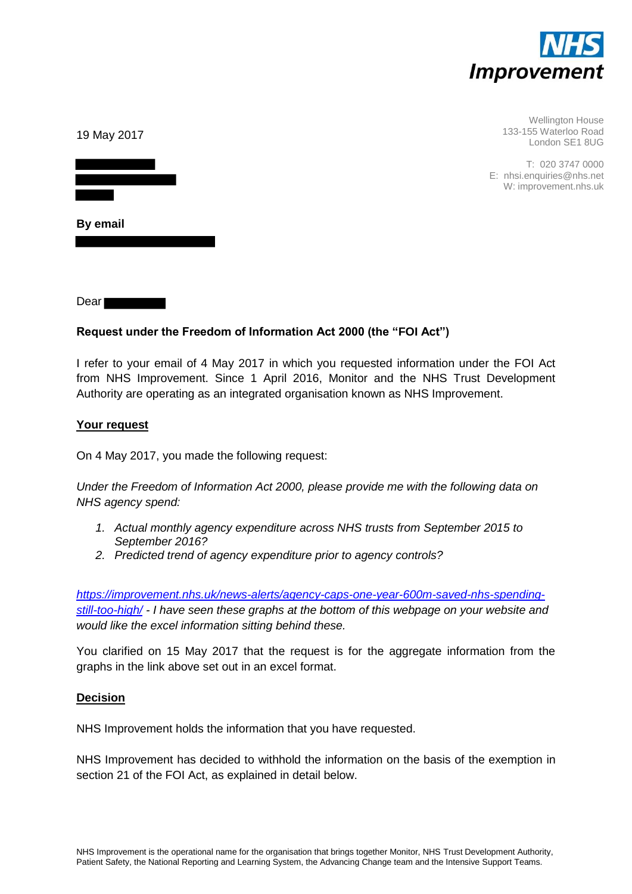

| 19 May 2017 | <b>Wellington House</b><br>133-155 Waterloo Road<br>London SE1 8UG     |
|-------------|------------------------------------------------------------------------|
|             | T: 020 3747 0000<br>E: nhsi.enquiries@nhs.net<br>W: improvement.nhs.uk |
| By email    |                                                                        |

Dear<sup>1</sup>

# **Request under the Freedom of Information Act 2000 (the "FOI Act")**

I refer to your email of 4 May 2017 in which you requested information under the FOI Act from NHS Improvement. Since 1 April 2016, Monitor and the NHS Trust Development Authority are operating as an integrated organisation known as NHS Improvement.

### **Your request**

On 4 May 2017, you made the following request:

*Under the Freedom of Information Act 2000, please provide me with the following data on NHS agency spend:* 

- *1. Actual monthly agency expenditure across NHS trusts from September 2015 to September 2016?*
- *2. Predicted trend of agency expenditure prior to agency controls?*

*[https://improvement.nhs.uk/news-alerts/agency-caps-one-year-600m-saved-nhs-spending](https://improvement.nhs.uk/news-alerts/agency-caps-one-year-600m-saved-nhs-spending-still-too-high/)[still-too-high/](https://improvement.nhs.uk/news-alerts/agency-caps-one-year-600m-saved-nhs-spending-still-too-high/) - I have seen these graphs at the bottom of this webpage on your website and would like the excel information sitting behind these.* 

You clarified on 15 May 2017 that the request is for the aggregate information from the graphs in the link above set out in an excel format.

### **Decision**

NHS Improvement holds the information that you have requested.

NHS Improvement has decided to withhold the information on the basis of the exemption in section 21 of the FOI Act, as explained in detail below.